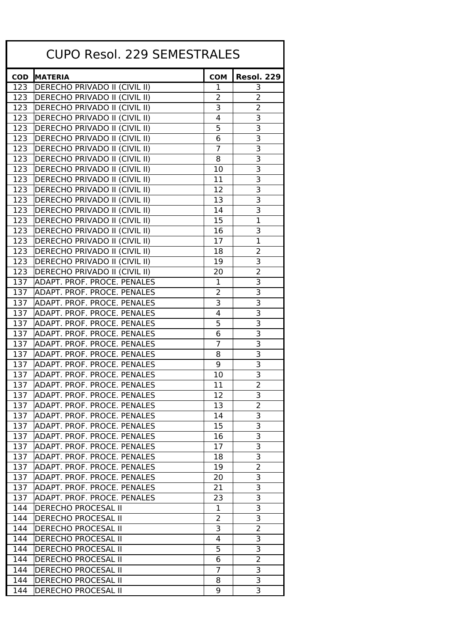| <b>CUPO Resol. 229 SEMESTRALES</b> |                                      |                |                           |  |  |
|------------------------------------|--------------------------------------|----------------|---------------------------|--|--|
| <b>COD</b>                         | <b>MATERIA</b>                       | <b>COM</b>     | <b>Resol. 229</b>         |  |  |
|                                    | 123   DERECHO PRIVADO II (CIVIL II)  | 1              | 3                         |  |  |
| 123                                | DERECHO PRIVADO II (CIVIL II)        | 2              | 2                         |  |  |
| 123                                | <b>DERECHO PRIVADO II (CIVIL II)</b> | 3              | 2                         |  |  |
| 123                                | DERECHO PRIVADO II (CIVIL II)        | 4              | 3                         |  |  |
| 123                                | <b>DERECHO PRIVADO II (CIVIL II)</b> | 5              | 3                         |  |  |
| 123                                | DERECHO PRIVADO II (CIVIL II)        | 6              | 3                         |  |  |
| 123                                | DERECHO PRIVADO II (CIVIL II)        | 7              | 3                         |  |  |
| 123                                | DERECHO PRIVADO II (CIVIL II)        | 8              | $\overline{\mathbf{3}}$   |  |  |
| 123                                | DERECHO PRIVADO II (CIVIL II)        | 10             | 3                         |  |  |
| 123                                | DERECHO PRIVADO II (CIVIL II)        | 11             | 3                         |  |  |
| 123                                | DERECHO PRIVADO II (CIVIL II)        | 12             | 3                         |  |  |
| 123                                | DERECHO PRIVADO II (CIVIL II)        | 13             | $\overline{\overline{3}}$ |  |  |
| 123                                | DERECHO PRIVADO II (CIVIL II)        | 14             | $\overline{\mathbf{3}}$   |  |  |
| 123                                | DERECHO PRIVADO II (CIVIL II)        | 15             | $\mathbf 1$               |  |  |
| 123                                | DERECHO PRIVADO II (CIVIL II)        | 16             | 3                         |  |  |
| 123                                | DERECHO PRIVADO II (CIVIL II)        | 17             | $\mathbf 1$               |  |  |
| 123                                | DERECHO PRIVADO II (CIVIL II)        | 18             | 2                         |  |  |
| 123                                | DERECHO PRIVADO II (CIVIL II)        | 19             | 3                         |  |  |
| 123                                | DERECHO PRIVADO II (CIVIL II)        | 20             | $\overline{2}$            |  |  |
| 137                                | <b>ADAPT. PROF. PROCE. PENALES</b>   | 1              | 3                         |  |  |
| 137                                | ADAPT. PROF. PROCE. PENALES          | 2              | 3                         |  |  |
| 137                                | ADAPT. PROF. PROCE. PENALES          | 3              | 3                         |  |  |
| 137                                | ADAPT. PROF. PROCE. PENALES          | 4              | 3                         |  |  |
| 137                                | <b>ADAPT. PROF. PROCE. PENALES</b>   | 5              | $\overline{\overline{3}}$ |  |  |
| 137                                | ADAPT. PROF. PROCE. PENALES          | 6              | 3                         |  |  |
| 137                                | ADAPT. PROF. PROCE. PENALES          | $\overline{7}$ | $\overline{3}$            |  |  |
| 137                                | <b>ADAPT. PROF. PROCE. PENALES</b>   | 8              | $\overline{\mathbf{3}}$   |  |  |
| 137                                | ADAPT. PROF. PROCE. PENALES          | 9              | $\overline{3}$            |  |  |
| 137                                | ADAPT. PROF. PROCE. PENALES          | 10             | $\overline{\overline{3}}$ |  |  |
| 137                                | <b>ADAPT. PROF. PROCE. PENALES</b>   | 11             | $\overline{2}$            |  |  |
| 137                                | ADAPT. PROF. PROCE. PENALES          | 12             | 3                         |  |  |
| 137                                | ADAPT. PROF. PROCE. PENALES          | 13             | 2                         |  |  |
| 137                                | ADAPT. PROF. PROCE. PENALES          | 14             | $\overline{\mathbf{3}}$   |  |  |
| 137                                | ADAPT. PROF. PROCE. PENALES          | 15             | $\overline{3}$            |  |  |
| 137                                | <b>ADAPT. PROF. PROCE. PENALES</b>   | 16             | 3                         |  |  |
| 137                                | ADAPT. PROF. PROCE. PENALES          | 17             | $\overline{3}$            |  |  |
| 137                                | ADAPT. PROF. PROCE. PENALES          | 18             | 3                         |  |  |
| 137                                | ADAPT. PROF. PROCE. PENALES          | 19             | $\overline{2}$            |  |  |
| 137                                | ADAPT. PROF. PROCE. PENALES          | 20             | 3                         |  |  |
| 137                                | ADAPT. PROF. PROCE. PENALES          | 21             | $\overline{3}$            |  |  |
| 137                                | ADAPT. PROF. PROCE. PENALES          | 23             | $\overline{\mathbf{3}}$   |  |  |
| 144                                | <b>DERECHO PROCESAL II</b>           | $\mathbf 1$    | $\overline{3}$            |  |  |
| 144                                | <b>DERECHO PROCESAL II</b>           | 2              | 3                         |  |  |
| 144                                | <b>DERECHO PROCESAL II</b>           | 3              | $\overline{2}$            |  |  |
| 144                                | <b>DERECHO PROCESAL II</b>           | 4              | $\overline{\mathbf{3}}$   |  |  |
| 144                                | <b>DERECHO PROCESAL II</b>           | 5              | 3                         |  |  |
| 144                                | <b>DERECHO PROCESAL II</b>           | 6              | $\overline{2}$            |  |  |
| 144                                | <b>DERECHO PROCESAL II</b>           | $\overline{7}$ | $\overline{3}$            |  |  |
| 144                                | <b>DERECHO PROCESAL II</b>           | 8              | $\overline{\mathbf{3}}$   |  |  |
| 144                                | <b>DERECHO PROCESAL II</b>           | 9              | $\overline{3}$            |  |  |